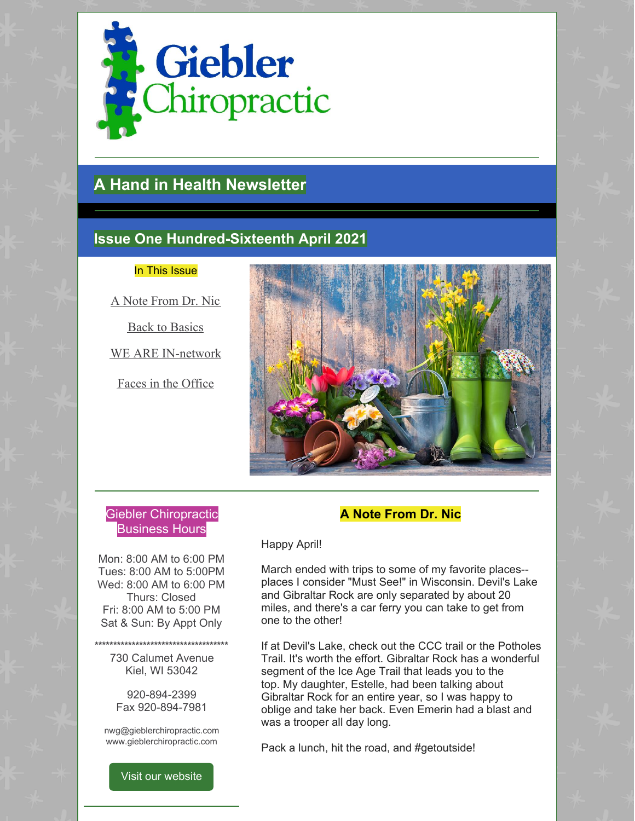

# **A Hand in Health Newsletter**

# **Issue One Hundred-Sixteenth April 2021**

#### In This Issue

A Note From Dr. Nic

Back to Basics

WE ARE IN-network

Faces in the Office



## Giebler Chiropractic Business Hours

Mon: 8:00 AM to 6:00 PM Tues: 8:00 AM to 5:00PM Wed: 8:00 AM to 6:00 PM Thurs: Closed Fri: 8:00 AM to 5:00 PM Sat & Sun: By Appt Only

**\*\*\*\*\*\*\*\*\*\*\*\*\*\*\*\*\*\*\*\*\*\*\*\*\*\*\*\*\*\*\*\*\*\*\*\*** 730 Calumet Avenue Kiel, WI 53042

> 920-894-2399 Fax 920-894-7981

nwg@gieblerchiropractic.com www.gieblerchiropractic.com

Visit our [website](http://www.gieblerchiropractic.com)

## **A Note From Dr. Nic**

#### Happy April!

March ended with trips to some of my favorite places- places I consider "Must See!" in Wisconsin. Devil's Lake and Gibraltar Rock are only separated by about 20 miles, and there's a car ferry you can take to get from one to the other!

If at Devil's Lake, check out the CCC trail or the Potholes Trail. It's worth the effort. Gibraltar Rock has a wonderful segment of the Ice Age Trail that leads you to the top. My daughter, Estelle, had been talking about Gibraltar Rock for an entire year, so I was happy to oblige and take her back. Even Emerin had a blast and was a trooper all day long.

Pack a lunch, hit the road, and #getoutside!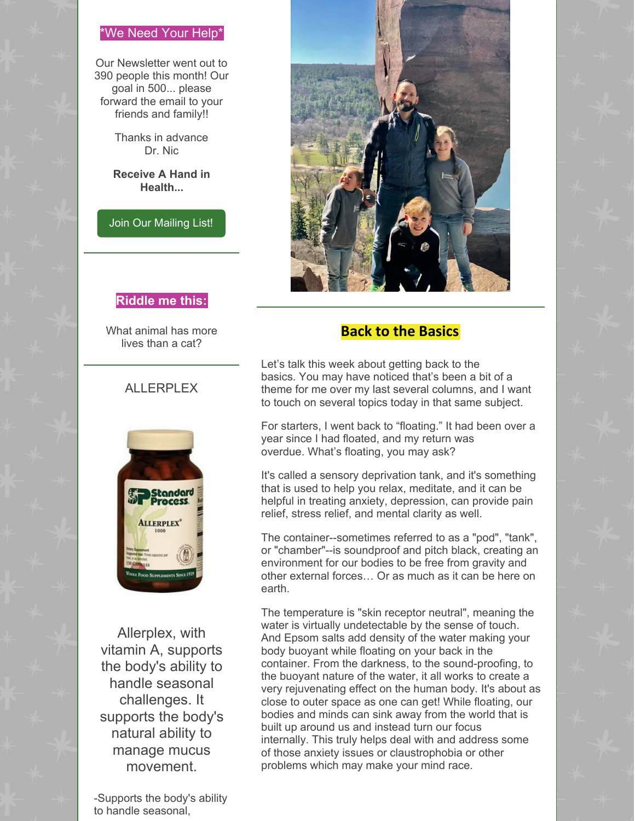#### \*We Need Your Help\*

Our Newsletter went out to 390 people this month! Our goal in 500... please forward the email to your friends and family!!

> Thanks in advance Dr. Nic

**Receive A Hand in Health...**

Join Our [Mailing](http://www.gieblerchiropractic.com/newsletter/) List!



# **Riddle me this:**

What animal has more lives than a cat?

#### ALLERPLEX



Allerplex, with vitamin A, supports the body's ability to handle seasonal challenges. It supports the body's natural ability to manage mucus movement.

-Supports the body's ability to handle seasonal,

## **Back to the Basics**

Let's talk this week about getting back to the basics. You may have noticed that's been a bit of a theme for me over my last several columns, and I want to touch on several topics today in that same subject.

For starters, I went back to "floating." It had been over a year since I had floated, and my return was overdue. What's floating, you may ask?

It's called a sensory deprivation tank, and it's something that is used to help you relax, meditate, and it can be helpful in treating anxiety, depression, can provide pain relief, stress relief, and mental clarity as well.

The container--sometimes referred to as a "pod", "tank", or "chamber"--is soundproof and pitch black, creating an environment for our bodies to be free from gravity and other external forces… Or as much as it can be here on earth.

The temperature is "skin receptor neutral", meaning the water is virtually undetectable by the sense of touch. And Epsom salts add density of the water making your body buoyant while floating on your back in the container. From the darkness, to the sound-proofing, to the buoyant nature of the water, it all works to create a very rejuvenating effect on the human body. It's about as close to outer space as one can get! While floating, our bodies and minds can sink away from the world that is built up around us and instead turn our focus internally. This truly helps deal with and address some of those anxiety issues or claustrophobia or other problems which may make your mind race.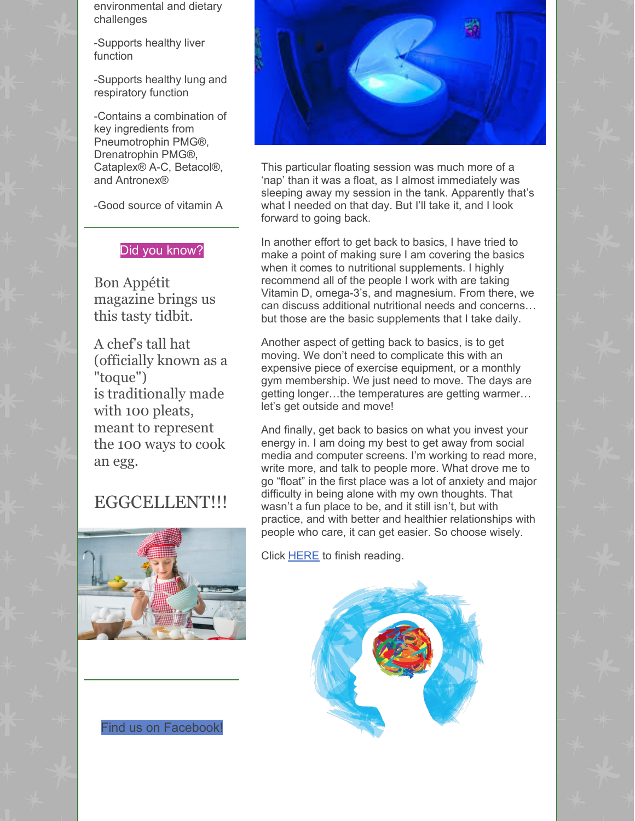environmental and dietary challenges

-Supports healthy liver function

-Supports healthy lung and respiratory function

-Contains a combination of key ingredients from Pneumotrophin PMG®, Drenatrophin PMG®, Cataplex® A-C, Betacol®, and Antronex®

-Good source of vitamin A

#### Did you know?

Bon Appétit magazine brings us this tasty tidbit.

A chef's tall hat (officially known as a "toque") is [traditionally](https://www.bonappetit.com/people/chefs/article/why-are-there-100-folds-in-a-chef-s-toque) made with 100 pleats, meant to represent the 100 ways to cook an egg.

# EGGCELLENT!!!







This particular floating session was much more of a 'nap' than it was a float, as I almost immediately was sleeping away my session in the tank. Apparently that's what I needed on that day. But I'll take it, and I look forward to going back.

In another effort to get back to basics, I have tried to make a point of making sure I am covering the basics when it comes to nutritional supplements. I highly recommend all of the people I work with are taking Vitamin D, omega-3's, and magnesium. From there, we can discuss additional nutritional needs and concerns… but those are the basic supplements that I take daily.

Another aspect of getting back to basics, is to get moving. We don't need to complicate this with an expensive piece of exercise equipment, or a monthly gym membership. We just need to move. The days are getting longer…the temperatures are getting warmer… let's get outside and move!

And finally, get back to basics on what you invest your energy in. I am doing my best to get away from social media and computer screens. I'm working to read more, write more, and talk to people more. What drove me to go "float" in the first place was a lot of anxiety and major difficulty in being alone with my own thoughts. That wasn't a fun place to be, and it still isn't, but with practice, and with better and healthier relationships with people who care, it can get easier. So choose wisely.

Click [HERE](https://gieblerchiropractic.blogspot.com/2021/04/back-to-basics.html) to finish reading.

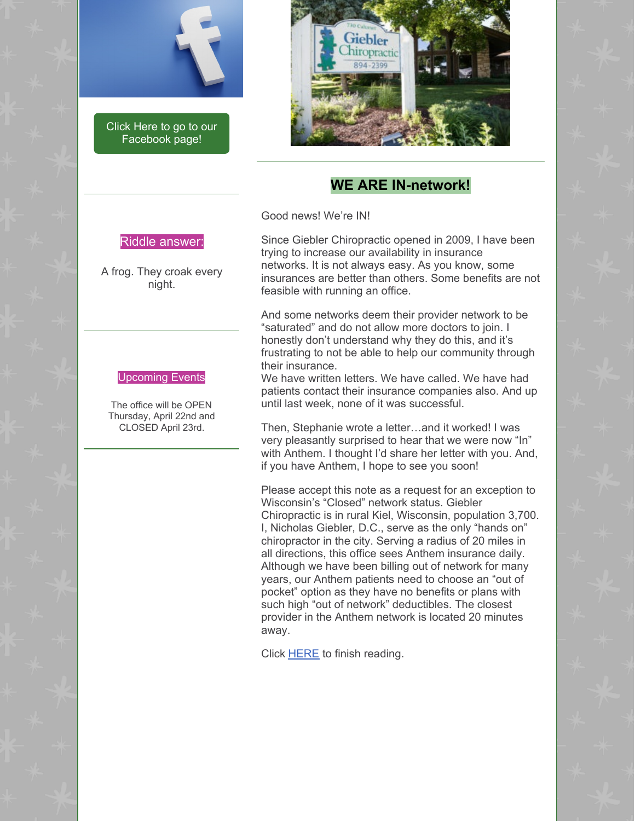

Click Here to go to our [Facebook](https://www.facebook.com/gieblerchiro/) page!



### **WE ARE IN-network!**

Good news! We're IN!

#### Riddle answer:

A frog. They croak every night.

#### Upcoming Events

The office will be OPEN Thursday, April 22nd and CLOSED April 23rd.

Since Giebler Chiropractic opened in 2009, I have been trying to increase our availability in insurance networks. It is not always easy. As you know, some insurances are better than others. Some benefits are not feasible with running an office.

And some networks deem their provider network to be "saturated" and do not allow more doctors to join. I honestly don't understand why they do this, and it's frustrating to not be able to help our community through their insurance.

We have written letters. We have called. We have had patients contact their insurance companies also. And up until last week, none of it was successful.

Then, Stephanie wrote a letter…and it worked! I was very pleasantly surprised to hear that we were now "In" with Anthem. I thought I'd share her letter with you. And, if you have Anthem, I hope to see you soon!

Please accept this note as a request for an exception to Wisconsin's "Closed" network status. Giebler Chiropractic is in rural Kiel, Wisconsin, population 3,700. I, Nicholas Giebler, D.C., serve as the only "hands on" chiropractor in the city. Serving a radius of 20 miles in all directions, this office sees Anthem insurance daily. Although we have been billing out of network for many years, our Anthem patients need to choose an "out of pocket" option as they have no benefits or plans with such high "out of network" deductibles. The closest provider in the Anthem network is located 20 minutes away.

Click [HERE](https://gieblerchiropractic.blogspot.com/2021/04/we-are-in-network.html) to finish reading.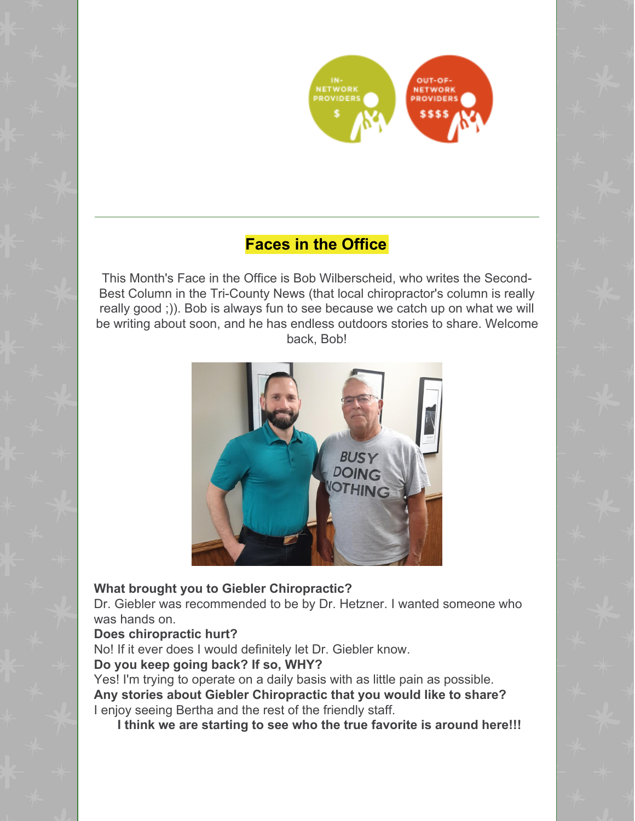

# **Faces in the Office**

This Month's Face in the Office is Bob Wilberscheid, who writes the Second-Best Column in the Tri-County News (that local chiropractor's column is really really good ;)). Bob is always fun to see because we catch up on what we will be writing about soon, and he has endless outdoors stories to share. Welcome back, Bob!



# **What brought you to Giebler Chiropractic?**

Dr. Giebler was recommended to be by Dr. Hetzner. I wanted someone who was hands on.

#### **Does chiropractic hurt?**

No! If it ever does I would definitely let Dr. Giebler know.

#### **Do you keep going back? If so, WHY?**

Yes! I'm trying to operate on a daily basis with as little pain as possible. **Any stories about Giebler Chiropractic that you would like to share?** I enjoy seeing Bertha and the rest of the friendly staff.

**I think we are starting to see who the true favorite is around here!!!**